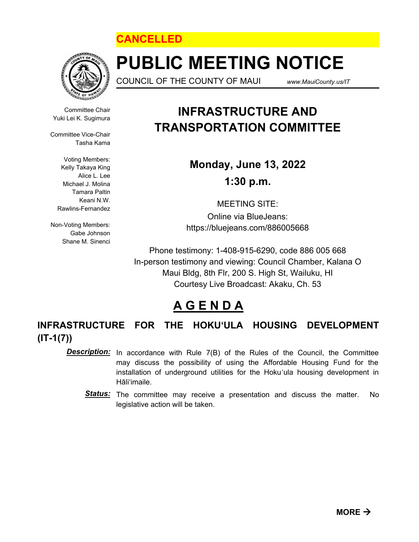



# **PUBLIC MEETING NOTICE**

COUNCIL OF THE COUNTY OF MAUI *www.MauiCounty.us/IT*

Committee Chair Yuki Lei K. Sugimura

Committee Vice-Chair Tasha Kama

> Voting Members: Kelly Takaya King Alice L. Lee Michael J. Molina Tamara Paltin Keani N.W. Rawlins-Fernandez

Non-Voting Members: Gabe Johnson Shane M. Sinenci

### **INFRASTRUCTURE AND TRANSPORTATION COMMITTEE**

**Monday, June 13, 2022 1:30 p.m.**

MEETING SITE:

Online via BlueJeans: https://bluejeans.com/886005668

Phone testimony: 1-408-915-6290, code 886 005 668 In-person testimony and viewing: Council Chamber, Kalana O Maui Bldg, 8th Flr, 200 S. High St, Wailuku, HI Courtesy Live Broadcast: Akaku, Ch. 53

## **A G E N D A**

**INFRASTRUCTURE FOR THE HOKU'ULA HOUSING DEVELOPMENT (IT-1(7))**

In accordance with Rule 7(B) of the Rules of the Council, the Committee may discuss the possibility of using the Affordable Housing Fund for the installation of underground utilities for the Hoku'ula housing development in Hāli'imaile. *Description:*

Status: The committee may receive a presentation and discuss the matter. No legislative action will be taken.